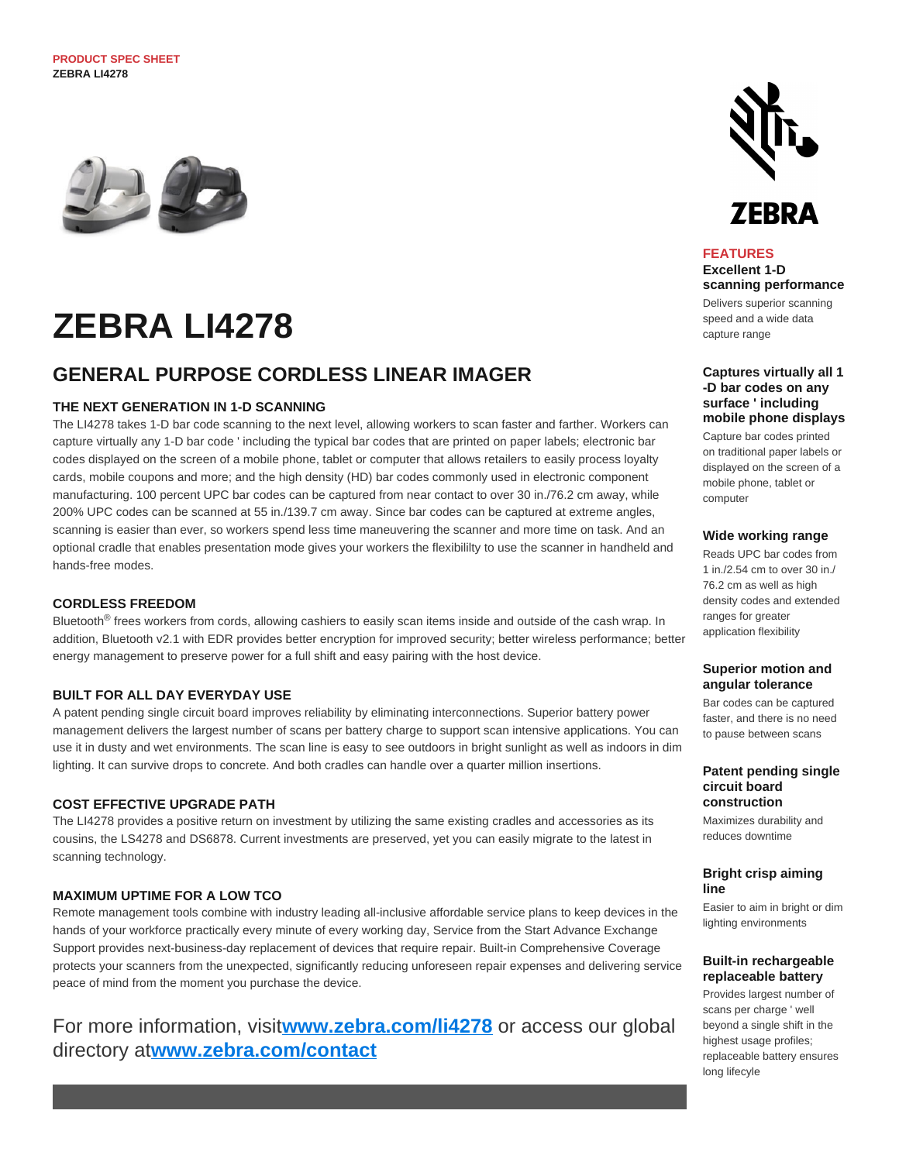**PRODUCT SPEC SHEET ZEBRA LI4278**



# **ZEBRA LI4278**

# **GENERAL PURPOSE CORDLESS LINEAR IMAGER**

# **THE NEXT GENERATION IN 1-D SCANNING**

The LI4278 takes 1-D bar code scanning to the next level, allowing workers to scan faster and farther. Workers can capture virtually any 1-D bar code ' including the typical bar codes that are printed on paper labels; electronic bar codes displayed on the screen of a mobile phone, tablet or computer that allows retailers to easily process loyalty cards, mobile coupons and more; and the high density (HD) bar codes commonly used in electronic component manufacturing. 100 percent UPC bar codes can be captured from near contact to over 30 in./76.2 cm away, while 200% UPC codes can be scanned at 55 in./139.7 cm away. Since bar codes can be captured at extreme angles, scanning is easier than ever, so workers spend less time maneuvering the scanner and more time on task. And an optional cradle that enables presentation mode gives your workers the flexibililty to use the scanner in handheld and hands-free modes.

### **CORDLESS FREEDOM**

Bluetooth<sup>®</sup> frees workers from cords, allowing cashiers to easily scan items inside and outside of the cash wrap. In addition, Bluetooth v2.1 with EDR provides better encryption for improved security; better wireless performance; better energy management to preserve power for a full shift and easy pairing with the host device.

### **BUILT FOR ALL DAY EVERYDAY USE**

A patent pending single circuit board improves reliability by eliminating interconnections. Superior battery power management delivers the largest number of scans per battery charge to support scan intensive applications. You can use it in dusty and wet environments. The scan line is easy to see outdoors in bright sunlight as well as indoors in dim lighting. It can survive drops to concrete. And both cradles can handle over a quarter million insertions.

### **COST EFFECTIVE UPGRADE PATH**

The LI4278 provides a positive return on investment by utilizing the same existing cradles and accessories as its cousins, the LS4278 and DS6878. Current investments are preserved, yet you can easily migrate to the latest in scanning technology.

# **MAXIMUM UPTIME FOR A LOW TCO**

Remote management tools combine with industry leading all-inclusive affordable service plans to keep devices in the hands of your workforce practically every minute of every working day, Service from the Start Advance Exchange Support provides next-business-day replacement of devices that require repair. Built-in Comprehensive Coverage protects your scanners from the unexpected, significantly reducing unforeseen repair expenses and delivering service peace of mind from the moment you purchase the device.

# For more information, visit**[www.zebra.com/li4278](http://www.zebra.com/li4278)** or access our global directory at**[www.zebra.com/contact](http://www.zebra.com/contact)**



# **FEATURES**

**Excellent 1-D scanning performance**

Delivers superior scanning speed and a wide data capture range

**Captures virtually all 1 -D bar codes on any surface ' including mobile phone displays**

Capture bar codes printed on traditional paper labels or displayed on the screen of a mobile phone, tablet or computer

### **Wide working range**

Reads UPC bar codes from 1 in./2.54 cm to over 30 in./ 76.2 cm as well as high density codes and extended ranges for greater application flexibility

### **Superior motion and angular tolerance**

Bar codes can be captured faster, and there is no need to pause between scans

#### **Patent pending single circuit board construction**

Maximizes durability and reduces downtime

### **Bright crisp aiming line**

Easier to aim in bright or dim lighting environments

### **Built-in rechargeable replaceable battery**

Provides largest number of scans per charge ' well beyond a single shift in the highest usage profiles; replaceable battery ensures long lifecyle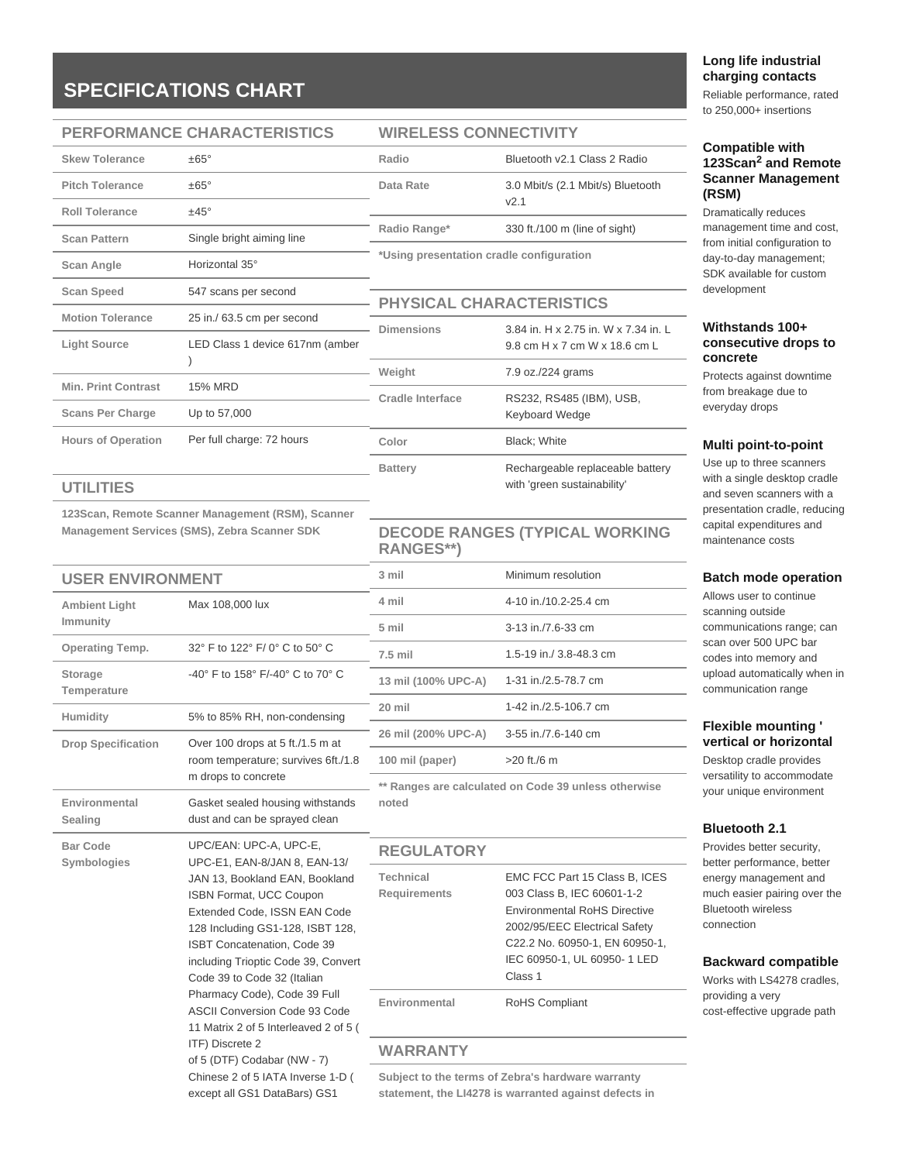# **SPECIFICATIONS CHART**

### **PERFORMANCE CHARACTERISTICS**

| <b>Skew Tolerance</b>      | $+65^\circ$                     |
|----------------------------|---------------------------------|
| <b>Pitch Tolerance</b>     | $\pm 65^{\circ}$                |
| <b>Roll Tolerance</b>      | $±45^{\circ}$                   |
| <b>Scan Pattern</b>        | Single bright aiming line       |
| Scan Angle                 | Horizontal 35°                  |
| <b>Scan Speed</b>          | 547 scans per second            |
| <b>Motion Tolerance</b>    | 25 in./ 63.5 cm per second      |
| <b>Light Source</b>        | LED Class 1 device 617nm (amber |
| <b>Min. Print Contrast</b> | <b>15% MRD</b>                  |
| <b>Scans Per Charge</b>    | Up to 57,000                    |
| <b>Hours of Operation</b>  | Per full charge: 72 hours       |

### **UTILITIES**

**Symbologies**

**123Scan, Remote Scanner Management (RSM), Scanner Management Services (SMS), Zebra Scanner SDK**

| <b>USER ENVIRONMENT</b>          |                                                                   | 3 mil                                                | Minimum resolution      |
|----------------------------------|-------------------------------------------------------------------|------------------------------------------------------|-------------------------|
| <b>Ambient Light</b><br>Immunity | Max 108,000 lux                                                   | 4 mil                                                | 4-10 in./10.2-25.4 cm   |
|                                  |                                                                   | 5 mil                                                | 3-13 in./7.6-33 cm      |
| <b>Operating Temp.</b>           | 32° F to 122° F/ 0° C to 50° C                                    | $7.5$ mil                                            | 1.5-19 in./ 3.8-48.3 cm |
| <b>Storage</b><br>Temperature    | -40° F to 158° F/-40° C to 70° C                                  | 13 mil (100% UPC-A)                                  | 1-31 in./2.5-78.7 cm    |
| Humidity                         | 5% to 85% RH, non-condensing                                      | 20 mil                                               | 1-42 in./2.5-106.7 cm   |
| <b>Drop Specification</b>        | Over 100 drops at 5 ft./1.5 m at                                  | 26 mil (200% UPC-A)                                  | 3-55 in./7.6-140 cm     |
|                                  | room temperature; survives 6ft./1.8                               | 100 mil (paper)                                      | $>20$ ft./6 m           |
| m drops to concrete              |                                                                   | ** Ranges are calculated on Code 39 unless otherwise |                         |
| Environmental<br>Sealing         | Gasket sealed housing withstands<br>dust and can be sprayed clean | noted                                                |                         |
| <b>Bar Code</b>                  | UPC/EAN: UPC-A, UPC-E,                                            | <b>REGULATORY</b>                                    |                         |

of 5 (DTF) Codabar (NW - 7) Chinese 2 of 5 IATA Inverse 1-D ( except all GS1 DataBars) GS1

ITF) Discrete 2

| UPC-E1, EAN-8/JAN 8, EAN-13/                                                                                                                                                                                                              | .                                |                                                                                                                                                                                                                 |  |
|-------------------------------------------------------------------------------------------------------------------------------------------------------------------------------------------------------------------------------------------|----------------------------------|-----------------------------------------------------------------------------------------------------------------------------------------------------------------------------------------------------------------|--|
| JAN 13, Bookland EAN, Bookland<br><b>ISBN Format, UCC Coupon</b><br>Extended Code, ISSN EAN Code<br>128 Including GS1-128, ISBT 128,<br>ISBT Concatenation, Code 39<br>including Trioptic Code 39, Convert<br>Code 39 to Code 32 (Italian | Technical<br><b>Requirements</b> | EMC FCC Part 15 Class B, ICES<br>003 Class B, IEC 60601-1-2<br><b>Environmental RoHS Directive</b><br>2002/95/EEC Electrical Safety<br>C22.2 No. 60950-1, EN 60950-1,<br>IEC 60950-1, UL 60950-1 LED<br>Class 1 |  |
| Pharmacy Code), Code 39 Full<br><b>ASCII Conversion Code 93 Code</b><br>11 Matrix 2 of 5 Interleaved 2 of 5 (                                                                                                                             | Environmental                    | <b>RoHS Compliant</b>                                                                                                                                                                                           |  |

**WIRELESS CONNECTIVITY**

**\*Using presentation cradle configuration**

**PHYSICAL CHARACTERISTICS**

**Weight** 7.9 oz./224 grams

**Color** Black; White

**RANGES\*\*)**

**Cradle Interface** RS232, RS485 (IBM), USB,

**Dimensions** 3.84 in. H x 2.75 in. W x 7.34 in. L

Battery Rechargeable replaceable battery

**DECODE RANGES (TYPICAL WORKING** 

Keyboard Wedge

with 'green sustainability'

9.8 cm H x 7 cm W x 18.6 cm L

**Radio** Bluetooth v2.1 Class 2 Radio **Data Rate** 3.0 Mbit/s (2.1 Mbit/s) Bluetooth v2.1 **Radio Range\*** 330 ft./100 m (line of sight)

# **WARRANTY**

**Subject to the terms of Zebra's hardware warranty statement, the LI4278 is warranted against defects in** 

# **Long life industrial charging contacts**

Reliable performance, rated to 250,000+ insertions

### **Compatible with**  123Scan<sup>2</sup> and Remote **Scanner Management (RSM)**

Dramatically reduces management time and cost, from initial configuration to day-to-day management; SDK available for custom development

### **Withstands 100+ consecutive drops to concrete**

Protects against downtime from breakage due to everyday drops

#### **Multi point-to-point**

Use up to three scanners with a single desktop cradle and seven scanners with a presentation cradle, reducing capital expenditures and maintenance costs

#### **Batch mode operation**

Allows user to continue scanning outside communications range; can scan over 500 UPC bar codes into memory and upload automatically when in communication range

### **Flexible mounting ' vertical or horizontal**

Desktop cradle provides versatility to accommodate your unique environment

### **Bluetooth 2.1**

Provides better security, better performance, better energy management and much easier pairing over the Bluetooth wireless connection

### **Backward compatible**

Works with LS4278 cradles, providing a very cost-effective upgrade path